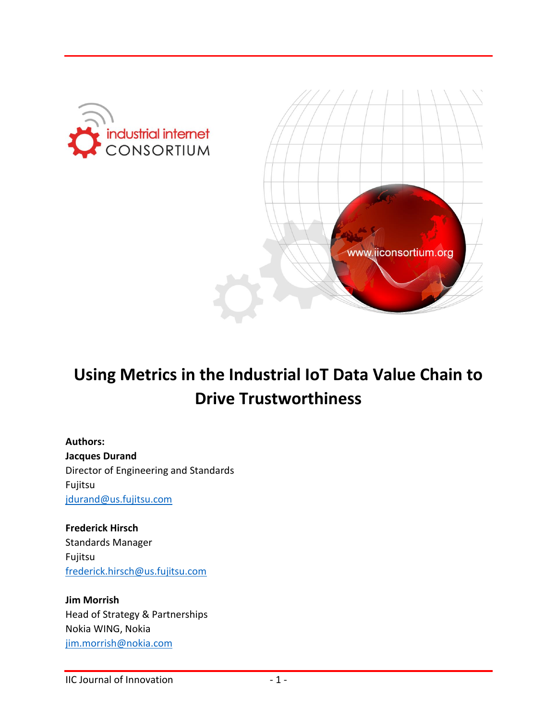



# **Using Metrics in the Industrial IoT Data Value Chain to Drive Trustworthiness**

**Authors: Jacques Durand** Director of Engineering and Standards Fujitsu [jdurand@us.fujitsu.com](mailto:jdurand@us.fujitsu.com)

**Frederick Hirsch** Standards Manager Fujitsu [frederick.hirsch@us.fujitsu.com](mailto:frederick.hirsch@us.fujitsu.com)

**Jim Morrish** Head of Strategy & Partnerships Nokia WING, Nokia [jim.morrish@nokia.com](mailto:jim.morrish@nokia.com)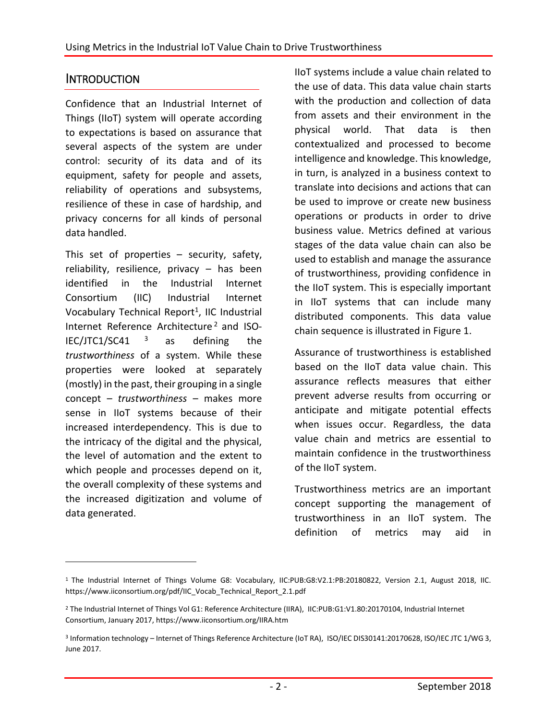#### **INTRODUCTION**

 $\overline{a}$ 

Confidence that an Industrial Internet of Things (IIoT) system will operate according to expectations is based on assurance that several aspects of the system are under control: security of its data and of its equipment, safety for people and assets, reliability of operations and subsystems, resilience of these in case of hardship, and privacy concerns for all kinds of personal data handled.

This set of properties – security, safety, reliability, resilience, privacy – has been identified in the Industrial Internet Consortium (IIC) Industrial Internet Vocabulary Technical Report<sup>1</sup>, IIC Industrial Internet Reference Architecture<sup>2</sup> and ISO-IEC/JTC1/SC41  $3$  as defining the *trustworthiness* of a system. While these properties were looked at separately (mostly) in the past, their grouping in a single concept – *trustworthiness* – makes more sense in IIoT systems because of their increased interdependency. This is due to the intricacy of the digital and the physical, the level of automation and the extent to which people and processes depend on it, the overall complexity of these systems and the increased digitization and volume of data generated.

IIoT systems include a value chain related to the use of data. This data value chain starts with the production and collection of data from assets and their environment in the physical world. That data is then contextualized and processed to become intelligence and knowledge. This knowledge, in turn, is analyzed in a business context to translate into decisions and actions that can be used to improve or create new business operations or products in order to drive business value. Metrics defined at various stages of the data value chain can also be used to establish and manage the assurance of trustworthiness, providing confidence in the IIoT system. This is especially important in IIoT systems that can include many distributed components. This data value chain sequence is illustrated in Figure 1.

Assurance of trustworthiness is established based on the IIoT data value chain. This assurance reflects measures that either prevent adverse results from occurring or anticipate and mitigate potential effects when issues occur. Regardless, the data value chain and metrics are essential to maintain confidence in the trustworthiness of the IIoT system.

Trustworthiness metrics are an important concept supporting the management of trustworthiness in an IIoT system. The definition of metrics may aid in

<sup>1</sup> The Industrial Internet of Things Volume G8: Vocabulary, IIC:PUB:G8:V2.1:PB:20180822, Version 2.1, August 2018, IIC. [https://www.iiconsortium.org/pdf/IIC\\_Vocab\\_Technical\\_Report\\_2.1.pdf](https://www.iiconsortium.org/pdf/IIC_Vocab_Technical_Report_2.1.pdf)

<sup>2</sup> The Industrial Internet of Things Vol G1: Reference Architecture (IIRA), IIC:PUB:G1:V1.80:20170104, Industrial Internet Consortium, January 2017, https://www.iiconsortium.org/IIRA.htm

<sup>3</sup> Information technology – Internet of Things Reference Architecture (IoT RA), ISO/IEC DIS30141:20170628, ISO/IEC JTC 1/WG 3, June 2017.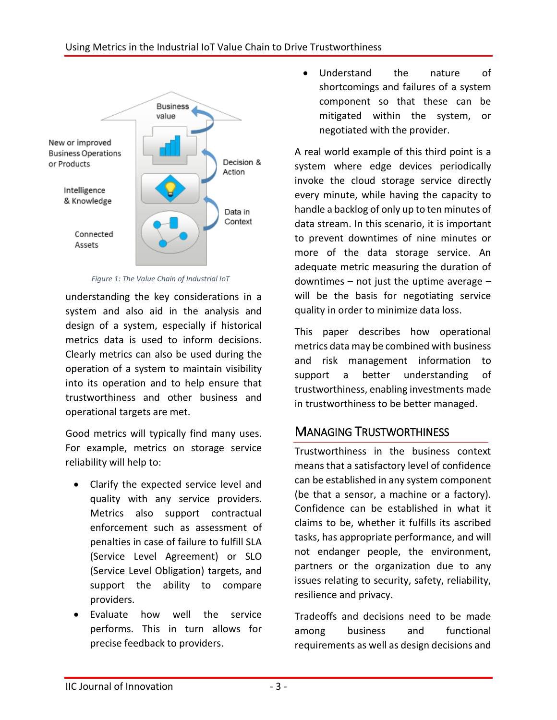

*Figure 1: The Value Chain of Industrial IoT*

understanding the key considerations in a system and also aid in the analysis and design of a system, especially if historical metrics data is used to inform decisions. Clearly metrics can also be used during the operation of a system to maintain visibility into its operation and to help ensure that trustworthiness and other business and operational targets are met.

Good metrics will typically find many uses. For example, metrics on storage service reliability will help to:

- Clarify the expected service level and quality with any service providers. Metrics also support contractual enforcement such as assessment of penalties in case of failure to fulfill SLA (Service Level Agreement) or SLO (Service Level Obligation) targets, and support the ability to compare providers.
- Evaluate how well the service performs. This in turn allows for precise feedback to providers.

 Understand the nature of shortcomings and failures of a system component so that these can be mitigated within the system, or negotiated with the provider.

A real world example of this third point is a system where edge devices periodically invoke the cloud storage service directly every minute, while having the capacity to handle a backlog of only up to ten minutes of data stream. In this scenario, it is important to prevent downtimes of nine minutes or more of the data storage service. An adequate metric measuring the duration of downtimes  $-$  not just the uptime average  $$ will be the basis for negotiating service quality in order to minimize data loss.

This paper describes how operational metrics data may be combined with business and risk management information to support a better understanding of trustworthiness, enabling investments made in trustworthiness to be better managed.

### MANAGING TRUSTWORTHINESS

Trustworthiness in the business context means that a satisfactory level of confidence can be established in any system component (be that a sensor, a machine or a factory). Confidence can be established in what it claims to be, whether it fulfills its ascribed tasks, has appropriate performance, and will not endanger people, the environment, partners or the organization due to any issues relating to security, safety, reliability, resilience and privacy.

Tradeoffs and decisions need to be made among business and functional requirements as well as design decisions and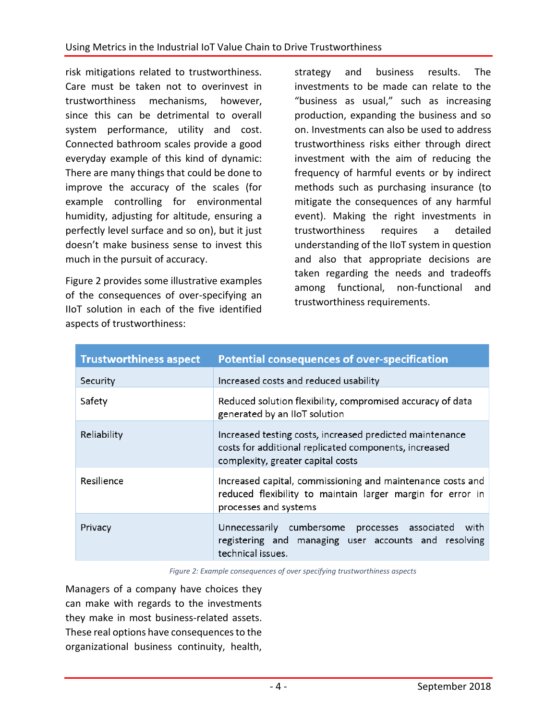risk mitigations related to trustworthiness. Care must be taken not to overinvest in trustworthiness mechanisms, however, since this can be detrimental to overall system performance, utility and cost. Connected bathroom scales provide a good everyday example of this kind of dynamic: There are many things that could be done to improve the accuracy of the scales (for example controlling for environmental humidity, adjusting for altitude, ensuring a perfectly level surface and so on), but it just doesn't make business sense to invest this much in the pursuit of accuracy.

Figure 2 provides some illustrative examples of the consequences of over-specifying an IIoT solution in each of the five identified aspects of trustworthiness:

strategy and business results. The investments to be made can relate to the "business as usual," such as increasing production, expanding the business and so on. Investments can also be used to address trustworthiness risks either through direct investment with the aim of reducing the frequency of harmful events or by indirect methods such as purchasing insurance (to mitigate the consequences of any harmful event). Making the right investments in trustworthiness requires a detailed understanding of the IIoT system in question and also that appropriate decisions are taken regarding the needs and tradeoffs among functional, non-functional and trustworthiness requirements.

| <b>Trustworthiness aspect</b> | <b>Potential consequences of over-specification</b>                                                                                                    |
|-------------------------------|--------------------------------------------------------------------------------------------------------------------------------------------------------|
| Security                      | Increased costs and reduced usability                                                                                                                  |
| Safety                        | Reduced solution flexibility, compromised accuracy of data<br>generated by an IIoT solution                                                            |
| Reliability                   | Increased testing costs, increased predicted maintenance<br>costs for additional replicated components, increased<br>complexity, greater capital costs |
| Resilience                    | Increased capital, commissioning and maintenance costs and<br>reduced flexibility to maintain larger margin for error in<br>processes and systems      |
| Privacy                       | Unnecessarily cumbersome processes associated<br>with<br>registering and managing user accounts and resolving<br>technical issues.                     |

*Figure 2: Example consequences of over specifying trustworthiness aspects*

Managers of a company have choices they can make with regards to the investments they make in most business-related assets. These real options have consequences to the organizational business continuity, health,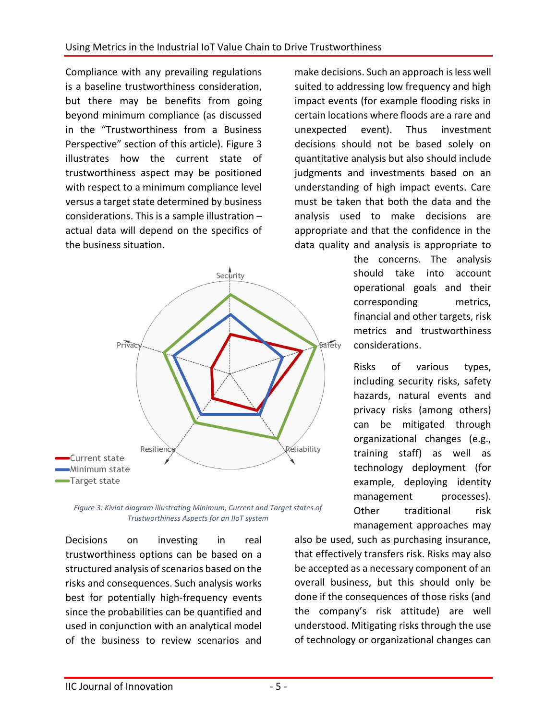Compliance with any prevailing regulations is a baseline trustworthiness consideration, but there may be benefits from going beyond minimum compliance (as discussed in the "Trustworthiness from a Business Perspective" section of this article). Figure 3 illustrates how the current state of trustworthiness aspect may be positioned with respect to a minimum compliance level versus a target state determined by business considerations. This is a sample illustration – actual data will depend on the specifics of the business situation.



*Figure 3: Kiviat diagram illustrating Minimum, Current and Target states of Trustworthiness Aspects for an IIoT system*

Decisions on investing in real trustworthiness options can be based on a structured analysis of scenarios based on the risks and consequences. Such analysis works best for potentially high-frequency events since the probabilities can be quantified and used in conjunction with an analytical model of the business to review scenarios and

make decisions. Such an approach is less well suited to addressing low frequency and high impact events (for example flooding risks in certain locations where floods are a rare and unexpected event). Thus investment decisions should not be based solely on quantitative analysis but also should include judgments and investments based on an understanding of high impact events. Care must be taken that both the data and the analysis used to make decisions are appropriate and that the confidence in the data quality and analysis is appropriate to

> the concerns. The analysis should take into account operational goals and their corresponding metrics, financial and other targets, risk metrics and trustworthiness considerations.

> Risks of various types, including security risks, safety hazards, natural events and privacy risks (among others) can be mitigated through organizational changes (e.g., training staff) as well as technology deployment (for example, deploying identity management processes). Other traditional risk management approaches may

also be used, such as purchasing insurance, that effectively transfers risk. Risks may also be accepted as a necessary component of an overall business, but this should only be done if the consequences of those risks (and the company's risk attitude) are well understood. Mitigating risks through the use of technology or organizational changes can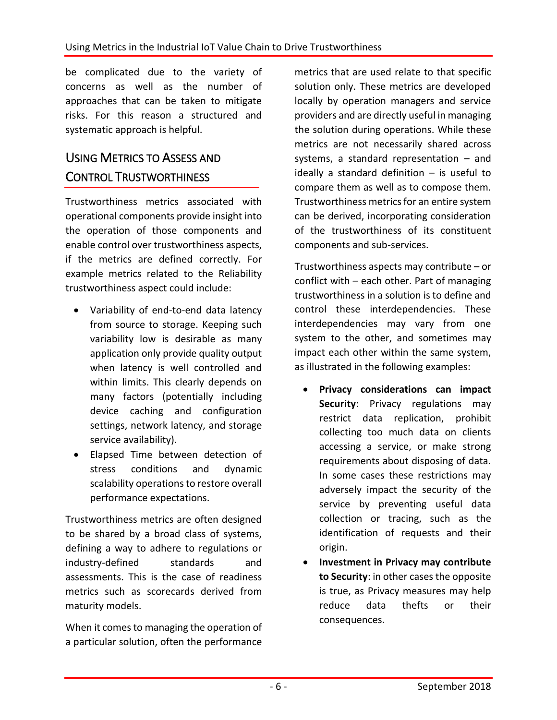be complicated due to the variety of concerns as well as the number of approaches that can be taken to mitigate risks. For this reason a structured and systematic approach is helpful.

# USING METRICS TO ASSESS AND CONTROL TRUSTWORTHINESS

Trustworthiness metrics associated with operational components provide insight into the operation of those components and enable control over trustworthiness aspects, if the metrics are defined correctly. For example metrics related to the Reliability trustworthiness aspect could include:

- Variability of end-to-end data latency from source to storage. Keeping such variability low is desirable as many application only provide quality output when latency is well controlled and within limits. This clearly depends on many factors (potentially including device caching and configuration settings, network latency, and storage service availability).
- Elapsed Time between detection of stress conditions and dynamic scalability operations to restore overall performance expectations.

Trustworthiness metrics are often designed to be shared by a broad class of systems, defining a way to adhere to regulations or industry-defined standards and assessments. This is the case of readiness metrics such as scorecards derived from maturity models.

When it comes to managing the operation of a particular solution, often the performance

metrics that are used relate to that specific solution only. These metrics are developed locally by operation managers and service providers and are directly useful in managing the solution during operations. While these metrics are not necessarily shared across systems, a standard representation – and ideally a standard definition – is useful to compare them as well as to compose them. Trustworthiness metrics for an entire system can be derived, incorporating consideration of the trustworthiness of its constituent components and sub-services.

Trustworthiness aspects may contribute – or conflict with – each other. Part of managing trustworthiness in a solution is to define and control these interdependencies. These interdependencies may vary from one system to the other, and sometimes may impact each other within the same system, as illustrated in the following examples:

- **Privacy considerations can impact Security**: Privacy regulations may restrict data replication, prohibit collecting too much data on clients accessing a service, or make strong requirements about disposing of data. In some cases these restrictions may adversely impact the security of the service by preventing useful data collection or tracing, such as the identification of requests and their origin.
- **Investment in Privacy may contribute to Security**: in other cases the opposite is true, as Privacy measures may help reduce data thefts or their consequences.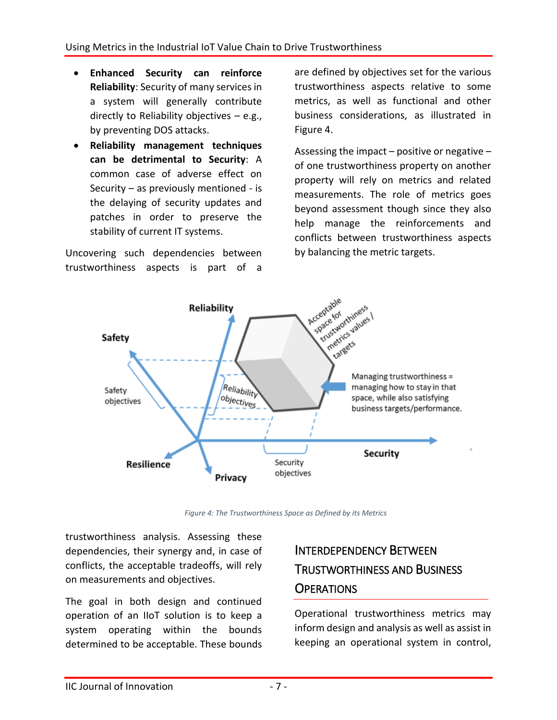- **Enhanced Security can reinforce Reliability**: Security of many services in a system will generally contribute directly to Reliability objectives – e.g., by preventing DOS attacks.
- **Reliability management techniques can be detrimental to Security**: A common case of adverse effect on Security – as previously mentioned - is the delaying of security updates and patches in order to preserve the stability of current IT systems.

Uncovering such dependencies between trustworthiness aspects is part of a

are defined by objectives set for the various trustworthiness aspects relative to some metrics, as well as functional and other business considerations, as illustrated in Figure 4.

Assessing the impact  $-$  positive or negative  $$ of one trustworthiness property on another property will rely on metrics and related measurements. The role of metrics goes beyond assessment though since they also help manage the reinforcements and conflicts between trustworthiness aspects by balancing the metric targets.



*Figure 4: The Trustworthiness Space as Defined by its Metrics*

trustworthiness analysis. Assessing these dependencies, their synergy and, in case of conflicts, the acceptable tradeoffs, will rely on measurements and objectives.

The goal in both design and continued operation of an IIoT solution is to keep a system operating within the bounds determined to be acceptable. These bounds

## INTERDEPENDENCY BETWEEN TRUSTWORTHINESS AND BUSINESS **OPERATIONS**

Operational trustworthiness metrics may inform design and analysis as well as assist in keeping an operational system in control,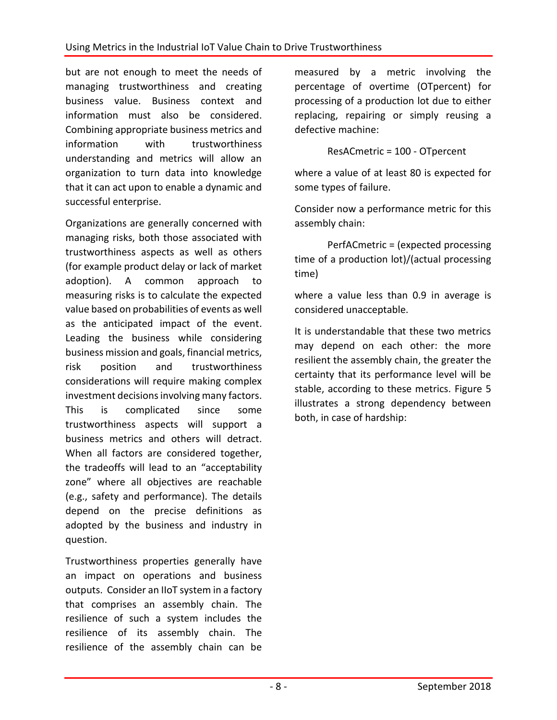but are not enough to meet the needs of managing trustworthiness and creating business value. Business context and information must also be considered. Combining appropriate business metrics and information with trustworthiness understanding and metrics will allow an organization to turn data into knowledge that it can act upon to enable a dynamic and successful enterprise.

Organizations are generally concerned with managing risks, both those associated with trustworthiness aspects as well as others (for example product delay or lack of market adoption). A common approach to measuring risks is to calculate the expected value based on probabilities of events as well as the anticipated impact of the event. Leading the business while considering business mission and goals, financial metrics, risk position and trustworthiness considerations will require making complex investment decisions involving many factors. This is complicated since some trustworthiness aspects will support a business metrics and others will detract. When all factors are considered together, the tradeoffs will lead to an "acceptability zone" where all objectives are reachable (e.g., safety and performance). The details depend on the precise definitions as adopted by the business and industry in question.

Trustworthiness properties generally have an impact on operations and business outputs. Consider an IIoT system in a factory that comprises an assembly chain. The resilience of such a system includes the resilience of its assembly chain. The resilience of the assembly chain can be

measured by a metric involving the percentage of overtime (OTpercent) for processing of a production lot due to either replacing, repairing or simply reusing a defective machine:

ResACmetric = 100 - OTpercent

where a value of at least 80 is expected for some types of failure.

Consider now a performance metric for this assembly chain:

PerfACmetric = (expected processing time of a production lot)/(actual processing time)

where a value less than 0.9 in average is considered unacceptable.

It is understandable that these two metrics may depend on each other: the more resilient the assembly chain, the greater the certainty that its performance level will be stable, according to these metrics. Figure 5 illustrates a strong dependency between both, in case of hardship: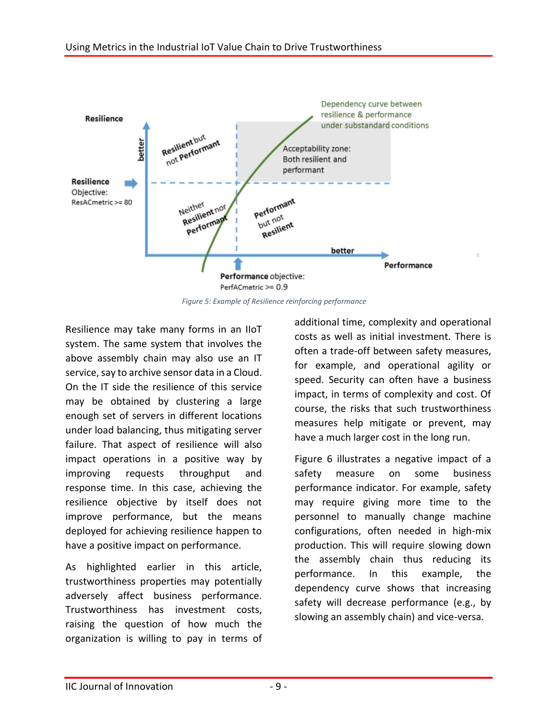

*Figure 5: Example of Resilience reinforcing performance*

Resilience may take many forms in an IIoT system. The same system that involves the above assembly chain may also use an IT service, say to archive sensor data in a Cloud. On the IT side the resilience of this service may be obtained by clustering a large enough set of servers in different locations under load balancing, thus mitigating server failure. That aspect of resilience will also impact operations in a positive way by improving requests throughput and response time. In this case, achieving the resilience objective by itself does not improve performance, but the means deployed for achieving resilience happen to have a positive impact on performance.

As highlighted earlier in this article, trustworthiness properties may potentially adversely affect business performance. Trustworthiness has investment costs, raising the question of how much the organization is willing to pay in terms of additional time, complexity and operational costs as well as initial investment. There is often a trade-off between safety measures, for example, and operational agility or speed. Security can often have a business impact, in terms of complexity and cost. Of course, the risks that such trustworthiness measures help mitigate or prevent, may have a much larger cost in the long run.

Figure 6 illustrates a negative impact of a safety measure on some business performance indicator. For example, safety may require giving more time to the personnel to manually change machine configurations, often needed in high-mix production. This will require slowing down the assembly chain thus reducing its performance. In this example, the dependency curve shows that increasing safety will decrease performance (e.g., by slowing an assembly chain) and vice-versa.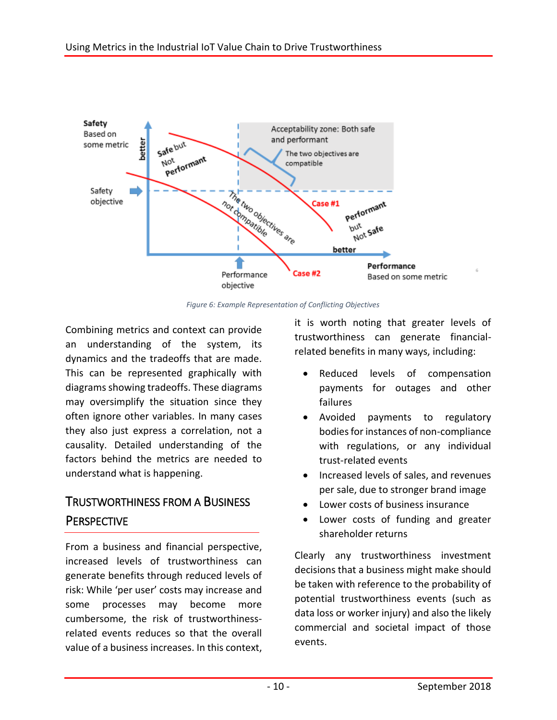

*Figure 6: Example Representation of Conflicting Objectives*

Combining metrics and context can provide an understanding of the system, its dynamics and the tradeoffs that are made. This can be represented graphically with diagrams showing tradeoffs. These diagrams may oversimplify the situation since they often ignore other variables. In many cases they also just express a correlation, not a causality. Detailed understanding of the factors behind the metrics are needed to understand what is happening.

## TRUSTWORTHINESS FROM A BUSINESS **PERSPECTIVE**

From a business and financial perspective, increased levels of trustworthiness can generate benefits through reduced levels of risk: While 'per user' costs may increase and some processes may become more cumbersome, the risk of trustworthinessrelated events reduces so that the overall value of a business increases. In this context,

it is worth noting that greater levels of trustworthiness can generate financialrelated benefits in many ways, including:

- Reduced levels of compensation payments for outages and other failures
- Avoided payments to regulatory bodies for instances of non-compliance with regulations, or any individual trust-related events
- **•** Increased levels of sales, and revenues per sale, due to stronger brand image
- Lower costs of business insurance
- Lower costs of funding and greater shareholder returns

Clearly any trustworthiness investment decisions that a business might make should be taken with reference to the probability of potential trustworthiness events (such as data loss or worker injury) and also the likely commercial and societal impact of those events.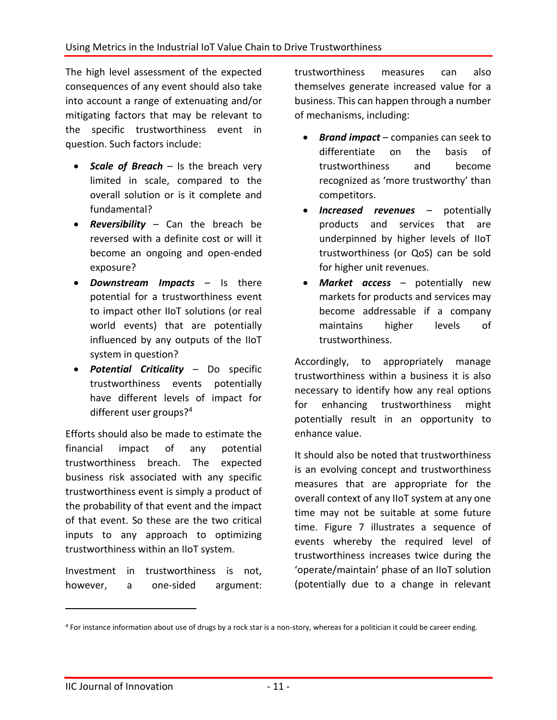The high level assessment of the expected consequences of any event should also take into account a range of extenuating and/or mitigating factors that may be relevant to the specific trustworthiness event in question. Such factors include:

- **Scale of Breach** Is the breach very limited in scale, compared to the overall solution or is it complete and fundamental?
- *Reversibility* Can the breach be reversed with a definite cost or will it become an ongoing and open-ended exposure?
- *Downstream Impacts* Is there potential for a trustworthiness event to impact other IIoT solutions (or real world events) that are potentially influenced by any outputs of the IIoT system in question?
- *Potential Criticality* Do specific trustworthiness events potentially have different levels of impact for different user groups?<sup>4</sup>

Efforts should also be made to estimate the financial impact of any potential trustworthiness breach. The expected business risk associated with any specific trustworthiness event is simply a product of the probability of that event and the impact of that event. So these are the two critical inputs to any approach to optimizing trustworthiness within an IIoT system.

Investment in trustworthiness is not, however, a one-sided argument: trustworthiness measures can also themselves generate increased value for a business. This can happen through a number of mechanisms, including:

- *Brand impact* companies can seek to differentiate on the basis of trustworthiness and become recognized as 'more trustworthy' than competitors.
- *Increased revenues* potentially products and services that are underpinned by higher levels of IIoT trustworthiness (or QoS) can be sold for higher unit revenues.
- *Market access* potentially new markets for products and services may become addressable if a company maintains higher levels of trustworthiness.

Accordingly, to appropriately manage trustworthiness within a business it is also necessary to identify how any real options for enhancing trustworthiness might potentially result in an opportunity to enhance value.

It should also be noted that trustworthiness is an evolving concept and trustworthiness measures that are appropriate for the overall context of any IIoT system at any one time may not be suitable at some future time. Figure 7 illustrates a sequence of events whereby the required level of trustworthiness increases twice during the 'operate/maintain' phase of an IIoT solution (potentially due to a change in relevant

 $\overline{a}$ 

<sup>4</sup> For instance information about use of drugs by a rock star is a non-story, whereas for a politician it could be career ending.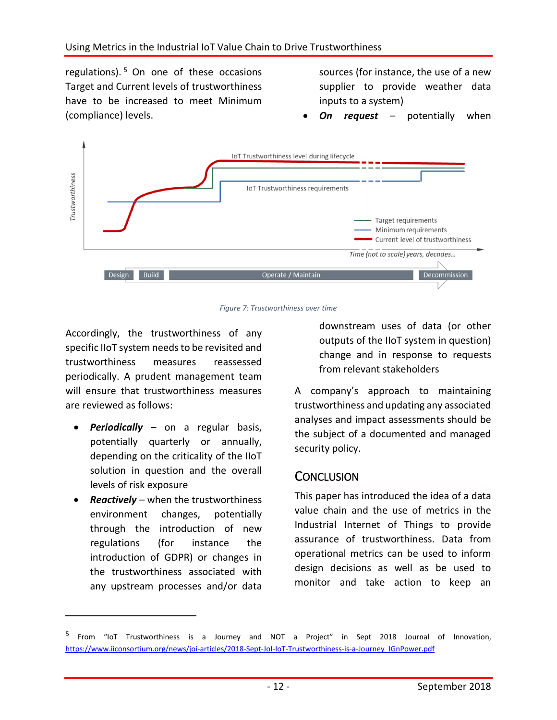regulations). <sup>5</sup> On one of these occasions Target and Current levels of trustworthiness have to be increased to meet Minimum (compliance) levels.

sources (for instance, the use of a new supplier to provide weather data inputs to a system)

*On request* – potentially when



*Figure 7: Trustworthiness over time*

Accordingly, the trustworthiness of any specific IIoT system needs to be revisited and trustworthiness measures reassessed periodically. A prudent management team will ensure that trustworthiness measures are reviewed as follows:

- *Periodically* on a regular basis, potentially quarterly or annually, depending on the criticality of the IIoT solution in question and the overall levels of risk exposure
- *Reactively* when the trustworthiness environment changes, potentially through the introduction of new regulations (for instance the introduction of GDPR) or changes in the trustworthiness associated with any upstream processes and/or data

 $\overline{a}$ 

downstream uses of data (or other outputs of the IIoT system in question) change and in response to requests from relevant stakeholders

A company's approach to maintaining trustworthiness and updating any associated analyses and impact assessments should be the subject of a documented and managed security policy.

### **CONCLUSION**

This paper has introduced the idea of a data value chain and the use of metrics in the Industrial Internet of Things to provide assurance of trustworthiness. Data from operational metrics can be used to inform design decisions as well as be used to monitor and take action to keep an

<sup>&</sup>lt;sup>5</sup> From "IoT Trustworthiness is a Journey and NOT a Project" in Sept 2018 Journal of Innovation, [https://www.iiconsortium.org/news/joi-articles/2018-Sept-JoI-IoT-Trustworthiness-is-a-Journey\\_IGnPower.pdf](https://www.iiconsortium.org/news/joi-articles/2018-Sept-JoI-IoT-Trustworthiness-is-a-Journey_IGnPower.pdf)